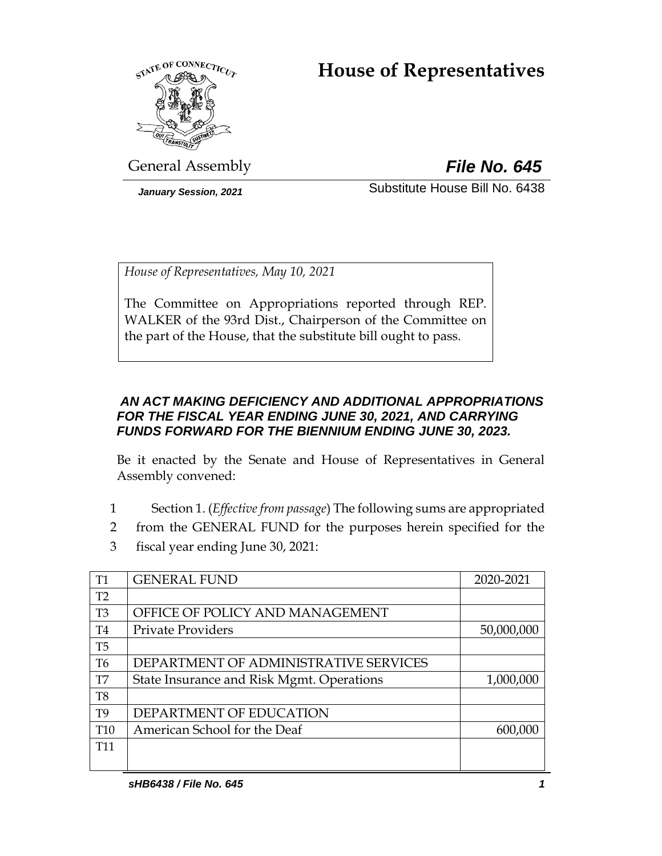# **House of Representatives**



General Assembly *File No. 645*

*January Session, 2021* Substitute House Bill No. 6438

*House of Representatives, May 10, 2021*

The Committee on Appropriations reported through REP. WALKER of the 93rd Dist., Chairperson of the Committee on the part of the House, that the substitute bill ought to pass.

# *AN ACT MAKING DEFICIENCY AND ADDITIONAL APPROPRIATIONS FOR THE FISCAL YEAR ENDING JUNE 30, 2021, AND CARRYING FUNDS FORWARD FOR THE BIENNIUM ENDING JUNE 30, 2023.*

Be it enacted by the Senate and House of Representatives in General Assembly convened:

- 1 Section 1. (*Effective from passage*) The following sums are appropriated
- 2 from the GENERAL FUND for the purposes herein specified for the
- 3 fiscal year ending June 30, 2021:

| <b>T1</b>       | <b>GENERAL FUND</b>                       | 2020-2021  |
|-----------------|-------------------------------------------|------------|
| T2              |                                           |            |
| T <sub>3</sub>  | OFFICE OF POLICY AND MANAGEMENT           |            |
| T <sub>4</sub>  | <b>Private Providers</b>                  | 50,000,000 |
| T <sub>5</sub>  |                                           |            |
| T <sub>6</sub>  | DEPARTMENT OF ADMINISTRATIVE SERVICES     |            |
| T7              | State Insurance and Risk Mgmt. Operations | 1,000,000  |
| T <sub>8</sub>  |                                           |            |
| T <sub>9</sub>  | DEPARTMENT OF EDUCATION                   |            |
| T <sub>10</sub> | American School for the Deaf              | 600,000    |
| T <sub>11</sub> |                                           |            |
|                 |                                           |            |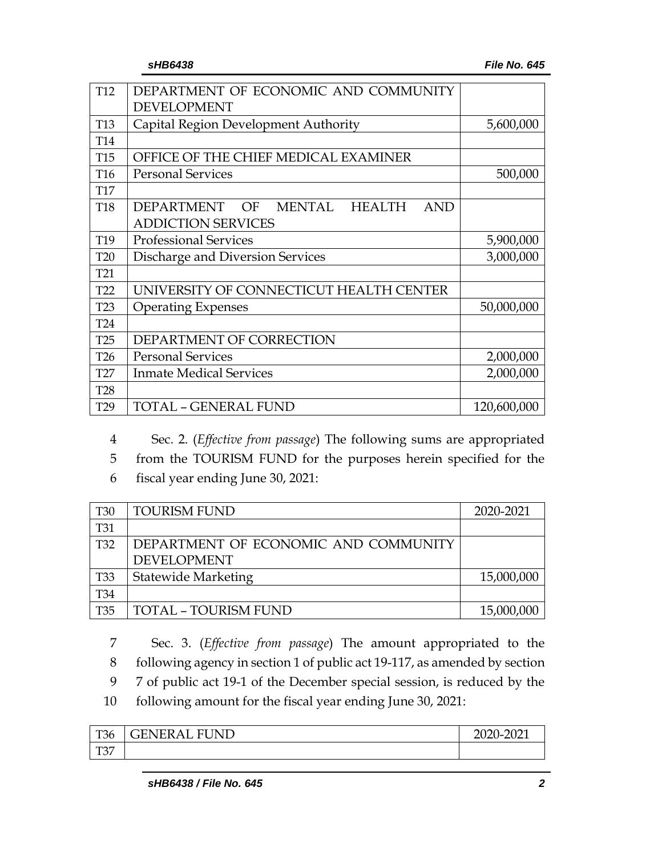| T <sub>12</sub> | DEPARTMENT OF ECONOMIC AND COMMUNITY                             |             |
|-----------------|------------------------------------------------------------------|-------------|
|                 | <b>DEVELOPMENT</b>                                               |             |
| <b>T13</b>      | Capital Region Development Authority                             | 5,600,000   |
| T <sub>14</sub> |                                                                  |             |
| <b>T15</b>      | OFFICE OF THE CHIEF MEDICAL EXAMINER                             |             |
| T <sub>16</sub> | <b>Personal Services</b>                                         | 500,000     |
| <b>T17</b>      |                                                                  |             |
| <b>T18</b>      | MENTAL<br><b>DEPARTMENT</b><br>OF<br><b>HEALTH</b><br><b>AND</b> |             |
|                 | <b>ADDICTION SERVICES</b>                                        |             |
| T19             | <b>Professional Services</b>                                     | 5,900,000   |
| <b>T20</b>      | Discharge and Diversion Services                                 | 3,000,000   |
| T <sub>21</sub> |                                                                  |             |
| T <sub>22</sub> | UNIVERSITY OF CONNECTICUT HEALTH CENTER                          |             |
| T <sub>23</sub> | <b>Operating Expenses</b>                                        | 50,000,000  |
| <b>T24</b>      |                                                                  |             |
| T25             | DEPARTMENT OF CORRECTION                                         |             |
| T <sub>26</sub> | <b>Personal Services</b>                                         | 2,000,000   |
| T <sub>27</sub> | <b>Inmate Medical Services</b>                                   | 2,000,000   |
| <b>T28</b>      |                                                                  |             |
| T <sub>29</sub> | TOTAL - GENERAL FUND                                             | 120,600,000 |

4 Sec. 2. (*Effective from passage*) The following sums are appropriated

5 from the TOURISM FUND for the purposes herein specified for the

6 fiscal year ending June 30, 2021:

| <b>T30</b>      | <b>TOURISM FUND</b>                  | 2020-2021  |
|-----------------|--------------------------------------|------------|
| <b>T31</b>      |                                      |            |
| T <sub>32</sub> | DEPARTMENT OF ECONOMIC AND COMMUNITY |            |
|                 | <b>DEVELOPMENT</b>                   |            |
| <b>T33</b>      | <b>Statewide Marketing</b>           | 15,000,000 |
| Τ34             |                                      |            |
| T35             | <b>TOTAL - TOURISM FUND</b>          | 15,000,000 |

 Sec. 3. (*Effective from passage*) The amount appropriated to the following agency in section 1 of public act 19-117, as amended by section 7 of public act 19-1 of the December special session, is reduced by the following amount for the fiscal year ending June 30, 2021:

| $T^{\prime}$<br>136        | UND<br>' JENEKAL<br>ы. | <b>2020-</b><br>2021 |
|----------------------------|------------------------|----------------------|
| $T^{\prime}$<br>$1 \cup I$ |                        |                      |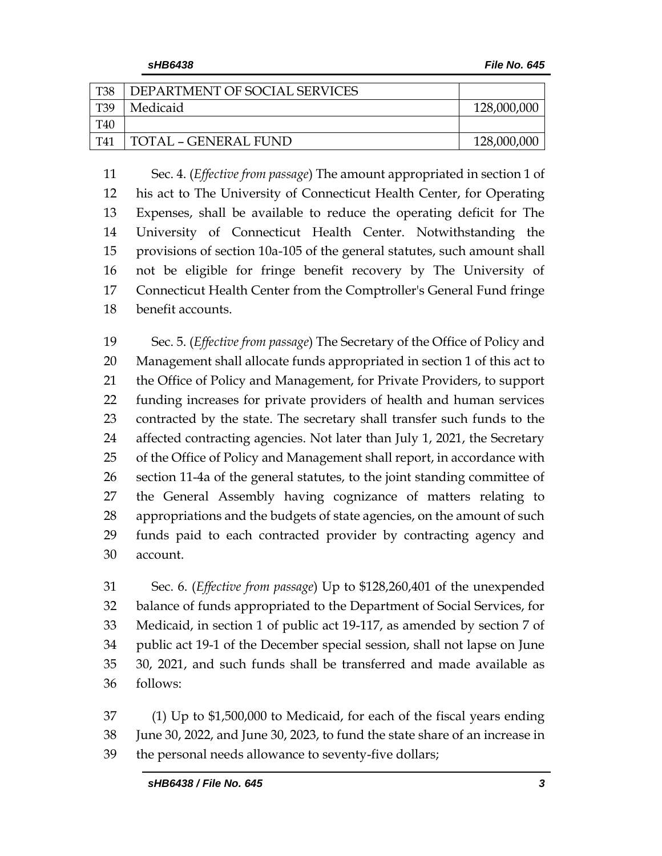| <b>T38</b> | DEPARTMENT OF SOCIAL SERVICES |             |
|------------|-------------------------------|-------------|
| T39        | Medicaid                      | 128,000,000 |
| T40        |                               |             |
| T41        | TOTAL - GENERAL FUND          | 128,000,000 |

 Sec. 4. (*Effective from passage*) The amount appropriated in section 1 of his act to The University of Connecticut Health Center, for Operating Expenses, shall be available to reduce the operating deficit for The University of Connecticut Health Center. Notwithstanding the provisions of section 10a-105 of the general statutes, such amount shall not be eligible for fringe benefit recovery by The University of Connecticut Health Center from the Comptroller's General Fund fringe benefit accounts.

 Sec. 5. (*Effective from passage*) The Secretary of the Office of Policy and Management shall allocate funds appropriated in section 1 of this act to the Office of Policy and Management, for Private Providers, to support funding increases for private providers of health and human services contracted by the state. The secretary shall transfer such funds to the affected contracting agencies. Not later than July 1, 2021, the Secretary of the Office of Policy and Management shall report, in accordance with section 11-4a of the general statutes, to the joint standing committee of the General Assembly having cognizance of matters relating to appropriations and the budgets of state agencies, on the amount of such funds paid to each contracted provider by contracting agency and account.

 Sec. 6. (*Effective from passage*) Up to \$128,260,401 of the unexpended balance of funds appropriated to the Department of Social Services, for Medicaid, in section 1 of public act 19-117, as amended by section 7 of public act 19-1 of the December special session, shall not lapse on June 30, 2021, and such funds shall be transferred and made available as follows:

 (1) Up to \$1,500,000 to Medicaid, for each of the fiscal years ending June 30, 2022, and June 30, 2023, to fund the state share of an increase in the personal needs allowance to seventy-five dollars;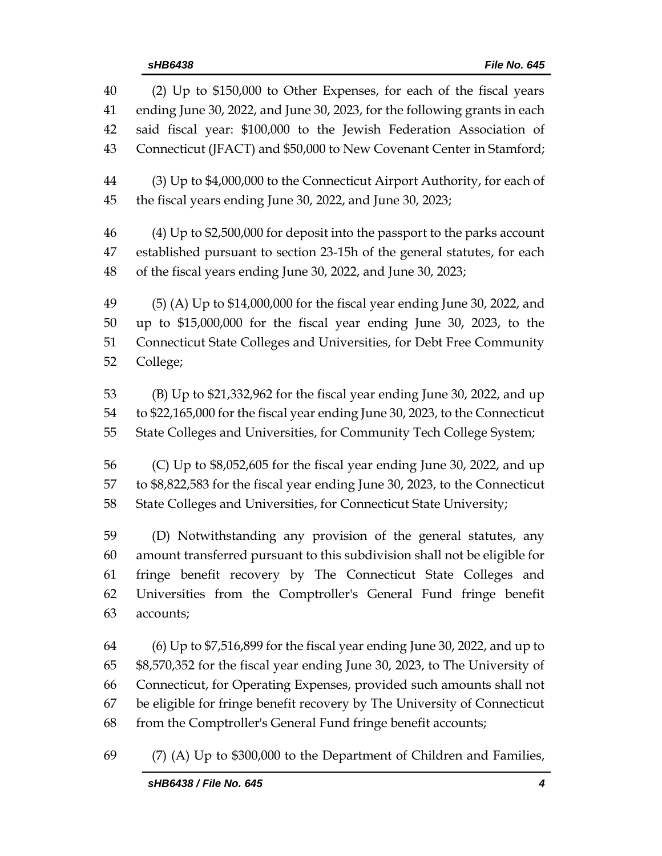| 40 | (2) Up to \$150,000 to Other Expenses, for each of the fiscal years          |
|----|------------------------------------------------------------------------------|
| 41 | ending June 30, 2022, and June 30, 2023, for the following grants in each    |
| 42 | said fiscal year: \$100,000 to the Jewish Federation Association of          |
| 43 | Connecticut (JFACT) and \$50,000 to New Covenant Center in Stamford;         |
| 44 | (3) Up to \$4,000,000 to the Connecticut Airport Authority, for each of      |
| 45 | the fiscal years ending June 30, 2022, and June 30, 2023;                    |
| 46 | $(4)$ Up to \$2,500,000 for deposit into the passport to the parks account   |
| 47 | established pursuant to section 23-15h of the general statutes, for each     |
| 48 | of the fiscal years ending June 30, 2022, and June 30, 2023;                 |
| 49 | (5) (A) Up to \$14,000,000 for the fiscal year ending June 30, 2022, and     |
| 50 | up to \$15,000,000 for the fiscal year ending June 30, 2023, to the          |
| 51 | Connecticut State Colleges and Universities, for Debt Free Community         |
| 52 | College;                                                                     |
| 53 | (B) Up to \$21,332,962 for the fiscal year ending June 30, 2022, and up      |
| 54 | to \$22,165,000 for the fiscal year ending June 30, 2023, to the Connecticut |
| 55 | State Colleges and Universities, for Community Tech College System;          |
| 56 | (C) Up to \$8,052,605 for the fiscal year ending June 30, 2022, and up       |
| 57 | to \$8,822,583 for the fiscal year ending June 30, 2023, to the Connecticut  |
| 58 | State Colleges and Universities, for Connecticut State University;           |
| 59 | (D) Notwithstanding any provision of the general statutes, any               |
| 60 | amount transferred pursuant to this subdivision shall not be eligible for    |
| 61 | fringe benefit recovery by The Connecticut State Colleges and                |
| 62 | Universities from the Comptroller's General Fund fringe benefit              |
| 63 | accounts;                                                                    |
| 64 | $(6)$ Up to \$7,516,899 for the fiscal year ending June 30, 2022, and up to  |
| 65 | \$8,570,352 for the fiscal year ending June 30, 2023, to The University of   |
| 66 | Connecticut, for Operating Expenses, provided such amounts shall not         |
| 67 | be eligible for fringe benefit recovery by The University of Connecticut     |
| 68 | from the Comptroller's General Fund fringe benefit accounts;                 |

(7) (A) Up to \$300,000 to the Department of Children and Families,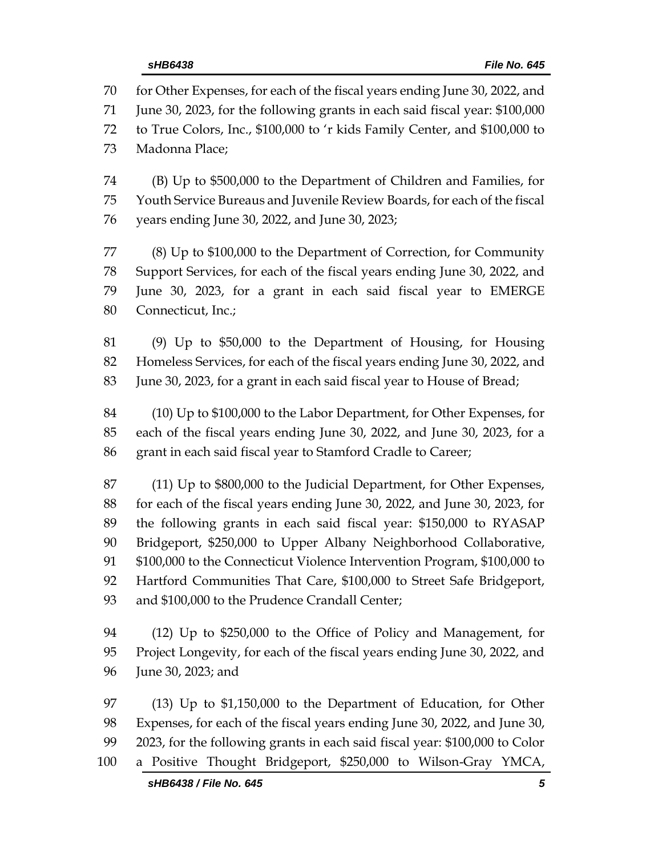for Other Expenses, for each of the fiscal years ending June 30, 2022, and June 30, 2023, for the following grants in each said fiscal year: \$100,000 to True Colors, Inc., \$100,000 to 'r kids Family Center, and \$100,000 to Madonna Place; (B) Up to \$500,000 to the Department of Children and Families, for Youth Service Bureaus and Juvenile Review Boards, for each of the fiscal years ending June 30, 2022, and June 30, 2023; (8) Up to \$100,000 to the Department of Correction, for Community Support Services, for each of the fiscal years ending June 30, 2022, and June 30, 2023, for a grant in each said fiscal year to EMERGE Connecticut, Inc.;

 (9) Up to \$50,000 to the Department of Housing, for Housing Homeless Services, for each of the fiscal years ending June 30, 2022, and June 30, 2023, for a grant in each said fiscal year to House of Bread;

 (10) Up to \$100,000 to the Labor Department, for Other Expenses, for each of the fiscal years ending June 30, 2022, and June 30, 2023, for a grant in each said fiscal year to Stamford Cradle to Career;

 (11) Up to \$800,000 to the Judicial Department, for Other Expenses, for each of the fiscal years ending June 30, 2022, and June 30, 2023, for the following grants in each said fiscal year: \$150,000 to RYASAP Bridgeport, \$250,000 to Upper Albany Neighborhood Collaborative, \$100,000 to the Connecticut Violence Intervention Program, \$100,000 to Hartford Communities That Care, \$100,000 to Street Safe Bridgeport, 93 and \$100,000 to the Prudence Crandall Center;

 (12) Up to \$250,000 to the Office of Policy and Management, for Project Longevity, for each of the fiscal years ending June 30, 2022, and June 30, 2023; and

 (13) Up to \$1,150,000 to the Department of Education, for Other Expenses, for each of the fiscal years ending June 30, 2022, and June 30, 2023, for the following grants in each said fiscal year: \$100,000 to Color a Positive Thought Bridgeport, \$250,000 to Wilson-Gray YMCA,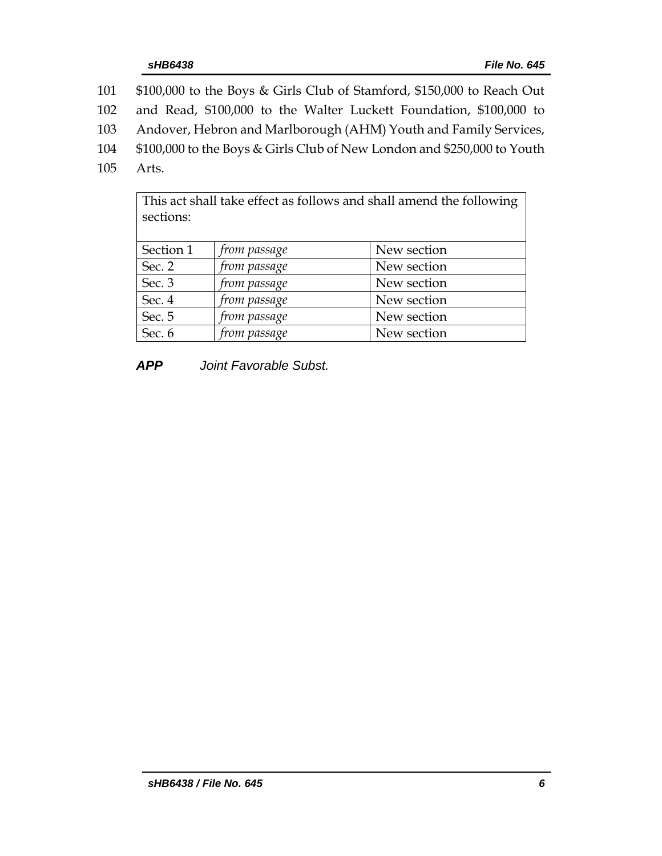- 101 \$100,000 to the Boys & Girls Club of Stamford, \$150,000 to Reach Out
- 102 and Read, \$100,000 to the Walter Luckett Foundation, \$100,000 to
- 103 Andover, Hebron and Marlborough (AHM) Youth and Family Services,
- 104 \$100,000 to the Boys & Girls Club of New London and \$250,000 to Youth
- 105 Arts.

| This act shall take effect as follows and shall amend the following<br>sections: |              |             |
|----------------------------------------------------------------------------------|--------------|-------------|
| Section 1                                                                        | from passage | New section |
| Sec. 2                                                                           | from passage | New section |
| Sec. 3                                                                           | from passage | New section |
| Sec. 4                                                                           | from passage | New section |
| Sec. 5                                                                           | from passage | New section |
| Sec. 6                                                                           | from passage | New section |

*APP Joint Favorable Subst.*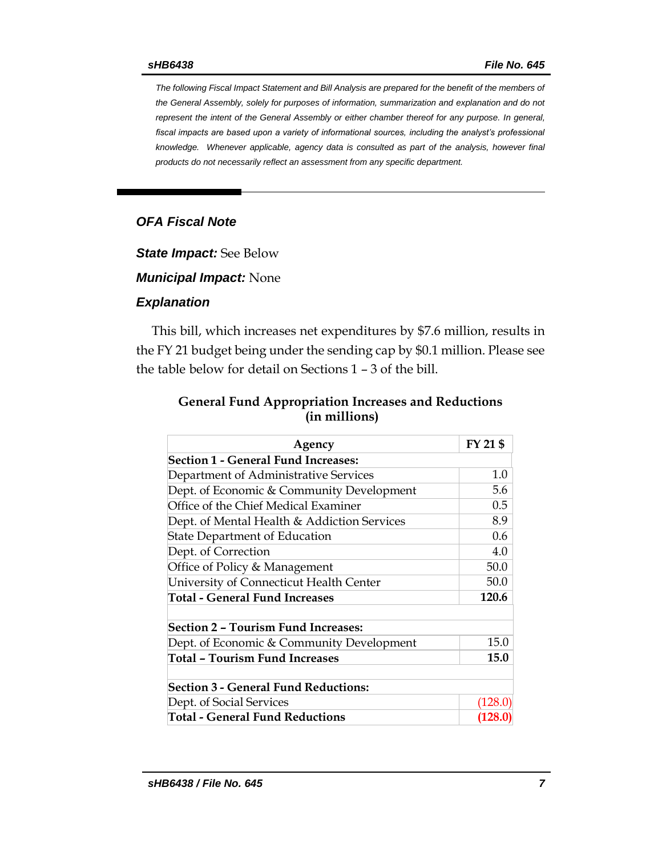*The following Fiscal Impact Statement and Bill Analysis are prepared for the benefit of the members of the General Assembly, solely for purposes of information, summarization and explanation and do not represent the intent of the General Assembly or either chamber thereof for any purpose. In general, fiscal impacts are based upon a variety of informational sources, including the analyst's professional knowledge. Whenever applicable, agency data is consulted as part of the analysis, however final products do not necessarily reflect an assessment from any specific department.*

## *OFA Fiscal Note*

*State Impact:* See Below

*Municipal Impact:* None

#### *Explanation*

This bill, which increases net expenditures by \$7.6 million, results in the FY 21 budget being under the sending cap by \$0.1 million. Please see the table below for detail on Sections 1 – 3 of the bill.

| <b>General Fund Appropriation Increases and Reductions</b> |
|------------------------------------------------------------|
| (in millions)                                              |

| Agency                                      | FY 21 \$    |
|---------------------------------------------|-------------|
| Section 1 - General Fund Increases:         |             |
| Department of Administrative Services       | 1.0         |
| Dept. of Economic & Community Development   | 5.6         |
| Office of the Chief Medical Examiner        | 0.5         |
| Dept. of Mental Health & Addiction Services | 8.9         |
| <b>State Department of Education</b>        | 0.6         |
| Dept. of Correction                         | 4.0         |
| Office of Policy & Management               | 50.0        |
| University of Connecticut Health Center     | 50.0        |
| <b>Total - General Fund Increases</b>       | 120.6       |
|                                             |             |
| <b>Section 2 - Tourism Fund Increases:</b>  |             |
| Dept. of Economic & Community Development   | 15.0        |
| <b>Total - Tourism Fund Increases</b>       | <b>15.0</b> |
| <b>Section 3 - General Fund Reductions:</b> |             |
| Dept. of Social Services                    | (128.0)     |
| <b>Total - General Fund Reductions</b>      | (128.0)     |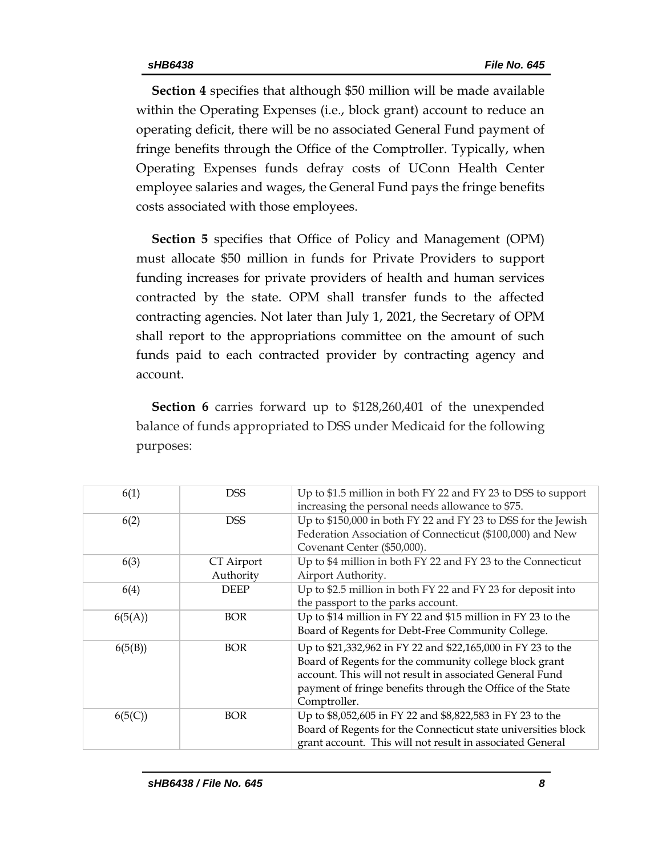**Section 4** specifies that although \$50 million will be made available within the Operating Expenses (i.e., block grant) account to reduce an operating deficit, there will be no associated General Fund payment of fringe benefits through the Office of the Comptroller. Typically, when Operating Expenses funds defray costs of UConn Health Center employee salaries and wages, the General Fund pays the fringe benefits costs associated with those employees.

**Section 5** specifies that Office of Policy and Management (OPM) must allocate \$50 million in funds for Private Providers to support funding increases for private providers of health and human services contracted by the state. OPM shall transfer funds to the affected contracting agencies. Not later than July 1, 2021, the Secretary of OPM shall report to the appropriations committee on the amount of such funds paid to each contracted provider by contracting agency and account.

**Section 6** carries forward up to \$128,260,401 of the unexpended balance of funds appropriated to DSS under Medicaid for the following purposes:

| 6(1)    | <b>DSS</b>              | Up to \$1.5 million in both FY 22 and FY 23 to DSS to support<br>increasing the personal needs allowance to \$75.                                                                                                                                                |
|---------|-------------------------|------------------------------------------------------------------------------------------------------------------------------------------------------------------------------------------------------------------------------------------------------------------|
| 6(2)    | <b>DSS</b>              | Up to \$150,000 in both FY 22 and FY 23 to DSS for the Jewish<br>Federation Association of Connecticut (\$100,000) and New<br>Covenant Center (\$50,000).                                                                                                        |
| 6(3)    | CT Airport<br>Authority | Up to \$4 million in both FY 22 and FY 23 to the Connecticut<br>Airport Authority.                                                                                                                                                                               |
| 6(4)    | <b>DEEP</b>             | Up to \$2.5 million in both FY 22 and FY 23 for deposit into<br>the passport to the parks account.                                                                                                                                                               |
| 6(5(A)) | <b>BOR</b>              | Up to \$14 million in FY 22 and \$15 million in FY 23 to the<br>Board of Regents for Debt-Free Community College.                                                                                                                                                |
| 6(5(B)) | <b>BOR</b>              | Up to \$21,332,962 in FY 22 and \$22,165,000 in FY 23 to the<br>Board of Regents for the community college block grant<br>account. This will not result in associated General Fund<br>payment of fringe benefits through the Office of the State<br>Comptroller. |
| 6(5(C)) | <b>BOR</b>              | Up to \$8,052,605 in FY 22 and \$8,822,583 in FY 23 to the<br>Board of Regents for the Connecticut state universities block<br>grant account. This will not result in associated General                                                                         |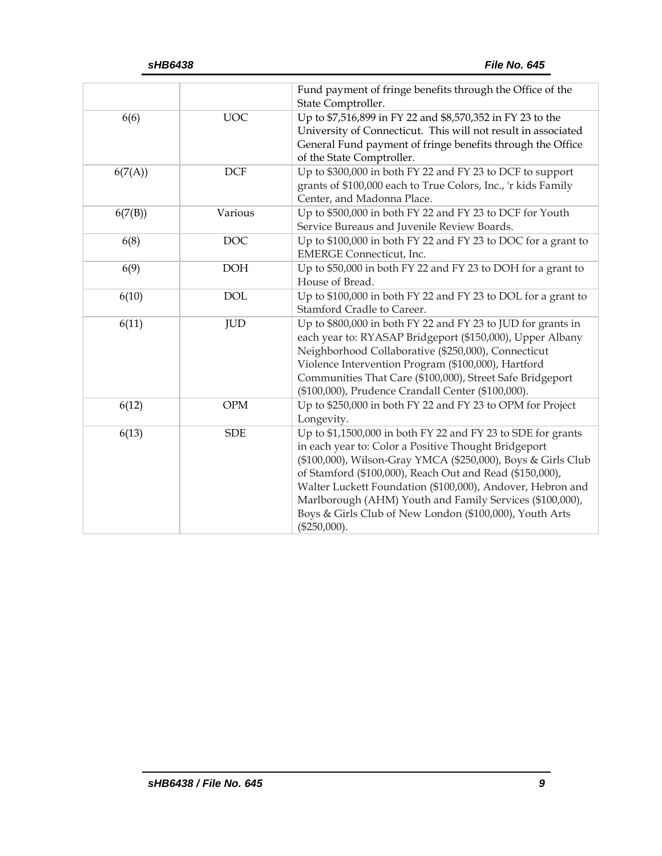|         |            | Fund payment of fringe benefits through the Office of the<br>State Comptroller.                                                                                                                                                                                                                                                                                                                                                                         |
|---------|------------|---------------------------------------------------------------------------------------------------------------------------------------------------------------------------------------------------------------------------------------------------------------------------------------------------------------------------------------------------------------------------------------------------------------------------------------------------------|
| 6(6)    | <b>UOC</b> | Up to \$7,516,899 in FY 22 and \$8,570,352 in FY 23 to the<br>University of Connecticut. This will not result in associated<br>General Fund payment of fringe benefits through the Office<br>of the State Comptroller.                                                                                                                                                                                                                                  |
| 6(7(A)) | DCF        | Up to \$300,000 in both FY 22 and FY 23 to DCF to support<br>grants of \$100,000 each to True Colors, Inc., 'r kids Family<br>Center, and Madonna Place.                                                                                                                                                                                                                                                                                                |
| 6(7(B)) | Various    | Up to \$500,000 in both FY 22 and FY 23 to DCF for Youth<br>Service Bureaus and Juvenile Review Boards.                                                                                                                                                                                                                                                                                                                                                 |
| 6(8)    | <b>DOC</b> | Up to \$100,000 in both FY 22 and FY 23 to DOC for a grant to<br><b>EMERGE</b> Connecticut, Inc.                                                                                                                                                                                                                                                                                                                                                        |
| 6(9)    | <b>DOH</b> | Up to \$50,000 in both FY 22 and FY 23 to DOH for a grant to<br>House of Bread.                                                                                                                                                                                                                                                                                                                                                                         |
| 6(10)   | <b>DOL</b> | Up to \$100,000 in both FY 22 and FY 23 to DOL for a grant to<br>Stamford Cradle to Career.                                                                                                                                                                                                                                                                                                                                                             |
| 6(11)   | <b>JUD</b> | Up to \$800,000 in both FY 22 and FY 23 to JUD for grants in<br>each year to: RYASAP Bridgeport (\$150,000), Upper Albany<br>Neighborhood Collaborative (\$250,000), Connecticut<br>Violence Intervention Program (\$100,000), Hartford<br>Communities That Care (\$100,000), Street Safe Bridgeport<br>(\$100,000), Prudence Crandall Center (\$100,000).                                                                                              |
| 6(12)   | <b>OPM</b> | Up to \$250,000 in both FY 22 and FY 23 to OPM for Project<br>Longevity.                                                                                                                                                                                                                                                                                                                                                                                |
| 6(13)   | <b>SDE</b> | Up to \$1,1500,000 in both FY 22 and FY 23 to SDE for grants<br>in each year to: Color a Positive Thought Bridgeport<br>(\$100,000), Wilson-Gray YMCA (\$250,000), Boys & Girls Club<br>of Stamford (\$100,000), Reach Out and Read (\$150,000),<br>Walter Luckett Foundation (\$100,000), Andover, Hebron and<br>Marlborough (AHM) Youth and Family Services (\$100,000),<br>Boys & Girls Club of New London (\$100,000), Youth Arts<br>$(\$250,000).$ |